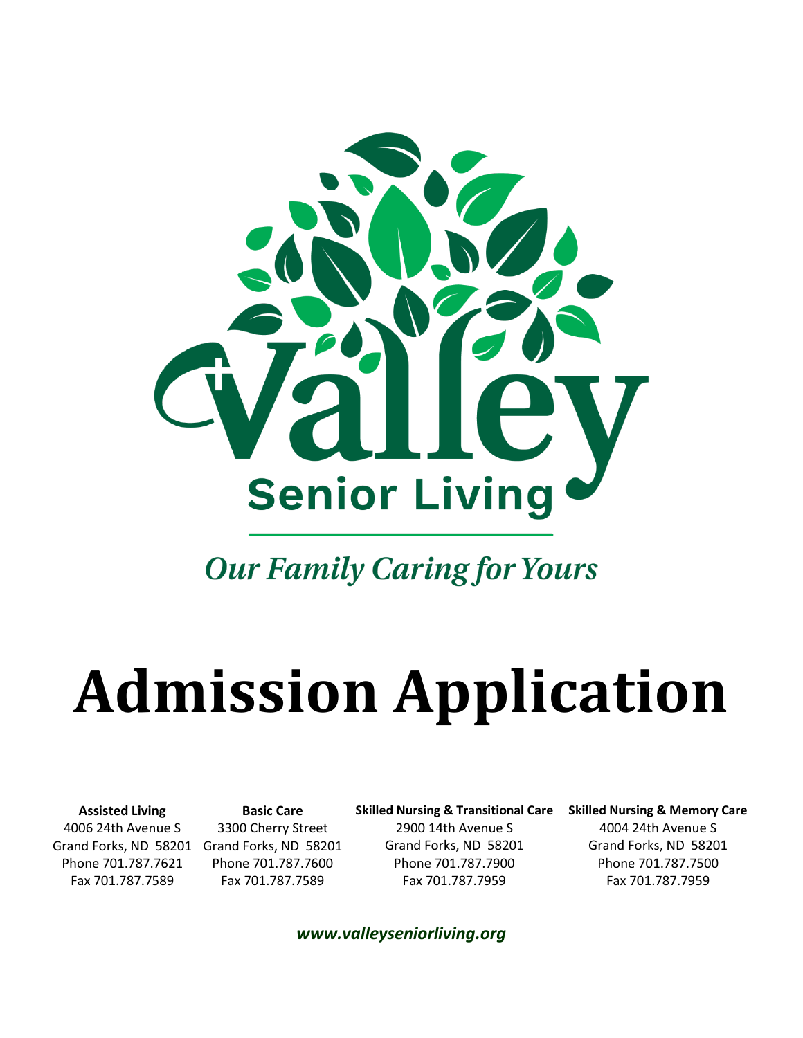

## **Our Family Caring for Yours**

## **Admission Application**

**Assisted Living** 4006 24th Avenue S Grand Forks, ND 58201 Grand Forks, ND 58201 Phone 701.787.7621 Fax 701.787.7589

**Basic Care** 3300 Cherry Street Phone 701.787.7600 Fax 701.787.7589

**Skilled Nursing & Transitional Care** 2900 14th Avenue S Grand Forks, ND 58201 Phone 701.787.7900 Fax 701.787.7959

**Skilled Nursing & Memory Care**

4004 24th Avenue S Grand Forks, ND 58201 Phone 701.787.7500 Fax 701.787.7959

*www.valleyseniorliving.org*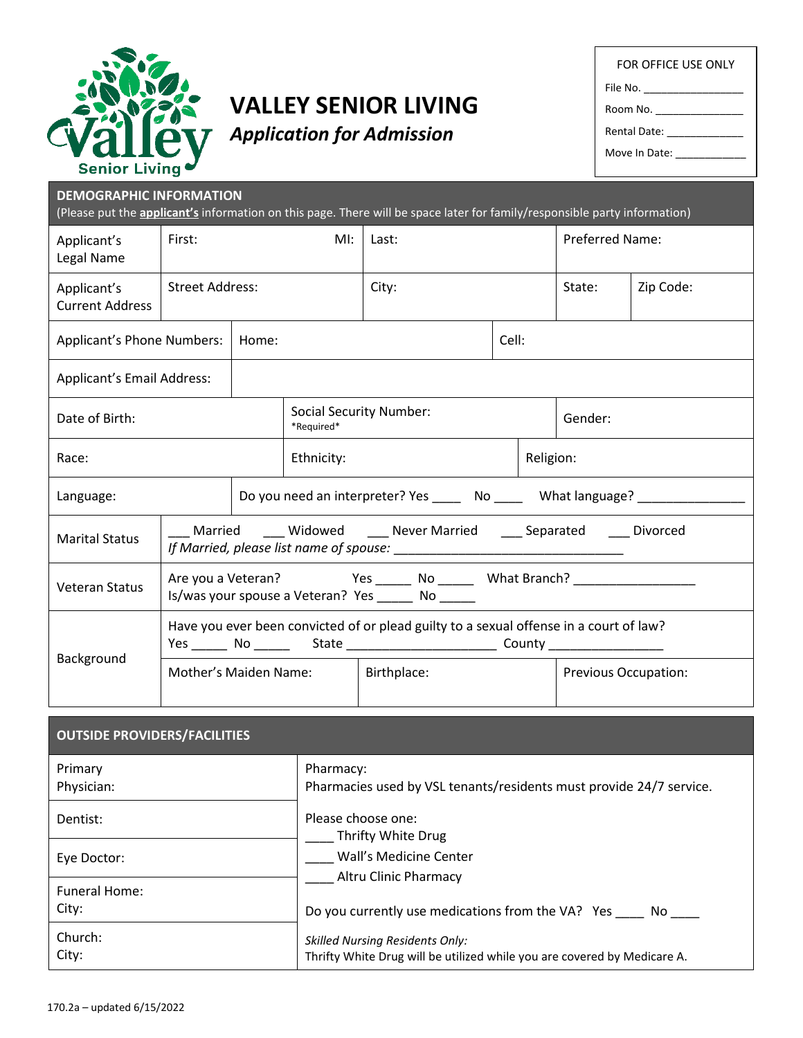

## **VALLEY SENIOR LIVING**

FOR OFFICE USE ONLY File No. Room No. Rental Date:

*Application for Admission*

Move In Date: \_\_\_\_\_\_\_\_\_\_\_\_

| <b>DEMOGRAPHIC INFORMATION</b>        |                        |       |                                              | (Please put the <b>applicant's</b> information on this page. There will be space later for family/responsible party information)                                            |       |                             |           |
|---------------------------------------|------------------------|-------|----------------------------------------------|-----------------------------------------------------------------------------------------------------------------------------------------------------------------------------|-------|-----------------------------|-----------|
| Applicant's<br>Legal Name             | First:                 |       | $M!$ :                                       | Last:                                                                                                                                                                       |       | Preferred Name:             |           |
| Applicant's<br><b>Current Address</b> | <b>Street Address:</b> |       |                                              | City:                                                                                                                                                                       |       | State:                      | Zip Code: |
| Applicant's Phone Numbers:            |                        | Home: |                                              |                                                                                                                                                                             | Cell: |                             |           |
| Applicant's Email Address:            |                        |       |                                              |                                                                                                                                                                             |       |                             |           |
| Date of Birth:                        |                        |       | <b>Social Security Number:</b><br>*Required* |                                                                                                                                                                             |       | Gender:                     |           |
| Race:                                 |                        |       | Ethnicity:                                   |                                                                                                                                                                             |       | Religion:                   |           |
| Language:                             |                        |       |                                              | Do you need an interpreter? Yes _____ No ____ What language? ___________________                                                                                            |       |                             |           |
| <b>Marital Status</b>                 |                        |       |                                              | Married Widowed Never Married Separated Divorced                                                                                                                            |       |                             |           |
| <b>Veteran Status</b>                 |                        |       |                                              | Are you a Veteran? The State Control of Mesical Mo ______________________________<br>Is/was your spouse a Veteran? Yes _______ No ______                                    |       |                             |           |
|                                       |                        |       |                                              | Have you ever been convicted of or plead guilty to a sexual offense in a court of law?<br>Yes _______ No _________ State ____________________________ County ______________ |       |                             |           |
| Background                            | Mother's Maiden Name:  |       |                                              | Birthplace:                                                                                                                                                                 |       | <b>Previous Occupation:</b> |           |
| <b>OUTSIDE PROVIDERS/FACILITIES</b>   |                        |       |                                              |                                                                                                                                                                             |       |                             |           |
| Primary<br>Physician:                 |                        |       | Pharmacy:                                    | Pharmacies used by VSL tenants/residents must provide 24/7 service.                                                                                                         |       |                             |           |
| Dentist:                              |                        |       | Please choose one:                           |                                                                                                                                                                             |       |                             |           |

| レヒロいいい        |                                                                          |
|---------------|--------------------------------------------------------------------------|
|               | Thrifty White Drug                                                       |
| Eye Doctor:   | Wall's Medicine Center                                                   |
|               | <b>Altru Clinic Pharmacy</b>                                             |
| Funeral Home: |                                                                          |
| City:         | Do you currently use medications from the VA? Yes<br>No.                 |
| Church:       | <b>Skilled Nursing Residents Only:</b>                                   |
| City:         | Thrifty White Drug will be utilized while you are covered by Medicare A. |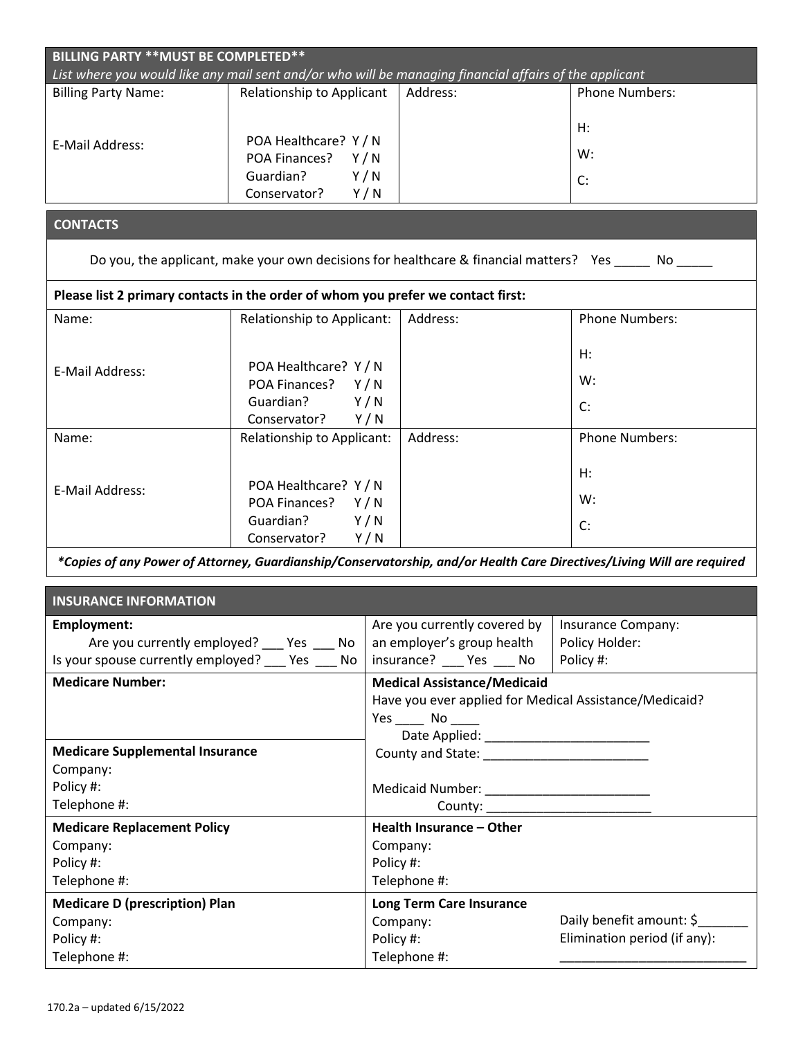| List where you would like any mail sent and/or who will be managing financial affairs of the applicant |                            |           |                                                        |                                                                                                                        |
|--------------------------------------------------------------------------------------------------------|----------------------------|-----------|--------------------------------------------------------|------------------------------------------------------------------------------------------------------------------------|
| <b>Billing Party Name:</b>                                                                             | Relationship to Applicant  |           | Address:                                               | <b>Phone Numbers:</b>                                                                                                  |
|                                                                                                        |                            |           |                                                        |                                                                                                                        |
|                                                                                                        |                            |           |                                                        | H:                                                                                                                     |
| E-Mail Address:                                                                                        | POA Healthcare? Y / N      |           |                                                        | W:                                                                                                                     |
|                                                                                                        | POA Finances? Y/N          |           |                                                        |                                                                                                                        |
|                                                                                                        | Guardian?<br>Y/N           |           |                                                        | C:                                                                                                                     |
|                                                                                                        | Conservator?<br>Y/N        |           |                                                        |                                                                                                                        |
| <b>CONTACTS</b>                                                                                        |                            |           |                                                        |                                                                                                                        |
|                                                                                                        |                            |           |                                                        | Do you, the applicant, make your own decisions for healthcare & financial matters? Yes ______ No _____                 |
| Please list 2 primary contacts in the order of whom you prefer we contact first:                       |                            |           |                                                        |                                                                                                                        |
| Name:                                                                                                  | Relationship to Applicant: |           | Address:                                               | <b>Phone Numbers:</b>                                                                                                  |
|                                                                                                        |                            |           |                                                        |                                                                                                                        |
|                                                                                                        |                            |           |                                                        | H:                                                                                                                     |
| E-Mail Address:                                                                                        | POA Healthcare? Y / N      |           |                                                        | W:                                                                                                                     |
|                                                                                                        | POA Finances? Y/N          |           |                                                        |                                                                                                                        |
|                                                                                                        | Guardian?<br>Y/N           |           |                                                        | C:                                                                                                                     |
|                                                                                                        | Conservator? Y/N           |           |                                                        |                                                                                                                        |
| Name:                                                                                                  | Relationship to Applicant: |           | Address:                                               | <b>Phone Numbers:</b>                                                                                                  |
|                                                                                                        |                            |           |                                                        | H:                                                                                                                     |
| E-Mail Address:                                                                                        | POA Healthcare? Y / N      |           |                                                        |                                                                                                                        |
|                                                                                                        | POA Finances? Y/N          |           |                                                        | W:                                                                                                                     |
|                                                                                                        | Guardian?<br>Y/N           |           |                                                        | C:                                                                                                                     |
|                                                                                                        | Conservator?               | Y/N       |                                                        |                                                                                                                        |
|                                                                                                        |                            |           |                                                        | *Copies of any Power of Attorney, Guardianship/Conservatorship, and/or Health Care Directives/Living Will are required |
|                                                                                                        |                            |           |                                                        |                                                                                                                        |
| <b>INSURANCE INFORMATION</b>                                                                           |                            |           |                                                        |                                                                                                                        |
| <b>Employment:</b>                                                                                     |                            |           | Are you currently covered by                           | Insurance Company:                                                                                                     |
| Are you currently employed? ___ Yes ___ No                                                             |                            |           | an employer's group health                             | Policy Holder:                                                                                                         |
| Is your spouse currently employed? __ Yes No                                                           |                            |           | insurance? ___ Yes ___ No                              | Policy #:                                                                                                              |
| <b>Medicare Number:</b>                                                                                |                            |           | <b>Medical Assistance/Medicaid</b>                     |                                                                                                                        |
|                                                                                                        |                            |           | Have you ever applied for Medical Assistance/Medicaid? |                                                                                                                        |
|                                                                                                        |                            |           | $Yes$ No $\_\_$                                        |                                                                                                                        |
|                                                                                                        |                            |           |                                                        |                                                                                                                        |
| <b>Medicare Supplemental Insurance</b>                                                                 |                            |           | County and State: Name of Allen and State:             |                                                                                                                        |
| Company:                                                                                               |                            |           |                                                        |                                                                                                                        |
| Policy #:                                                                                              |                            |           |                                                        |                                                                                                                        |
| Telephone #:                                                                                           |                            |           |                                                        |                                                                                                                        |
| <b>Medicare Replacement Policy</b>                                                                     |                            |           | Health Insurance - Other                               |                                                                                                                        |
| Company:                                                                                               |                            |           | Company:                                               |                                                                                                                        |
| Policy #:                                                                                              |                            | Policy #: |                                                        |                                                                                                                        |
| Telephone #:                                                                                           |                            |           | Telephone #:                                           |                                                                                                                        |
| <b>Medicare D (prescription) Plan</b>                                                                  |                            |           | <b>Long Term Care Insurance</b>                        |                                                                                                                        |
| Company:                                                                                               |                            |           | Company:                                               | Daily benefit amount: \$                                                                                               |
| Policy #:                                                                                              |                            | Policy #: |                                                        | Elimination period (if any):                                                                                           |
| Telephone #:                                                                                           |                            |           | Telephone #:                                           |                                                                                                                        |

**BILLING PARTY \*\*MUST BE COMPLETED\*\***